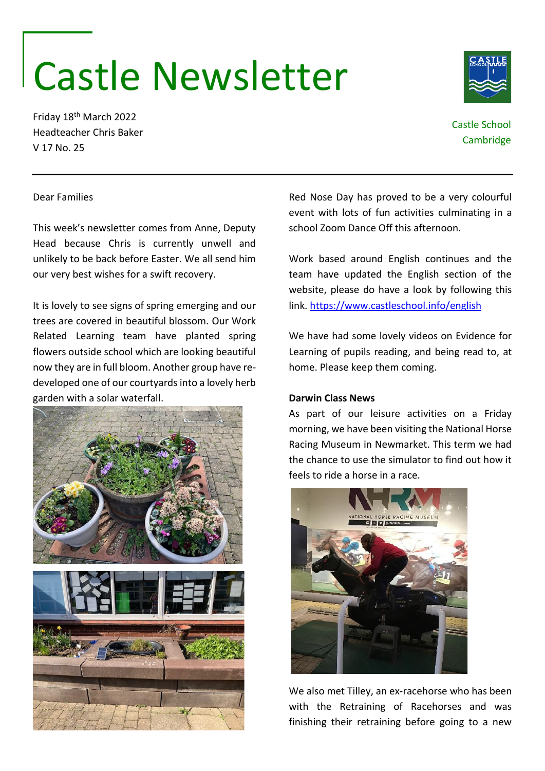# Castle Newsletter

Friday 18th March 2022 Headteacher Chris Baker V 17 No. 25

> Red Nose Day has proved to be a very colourful event with lots of fun activities culminating in a school Zoom Dance Off this afternoon.

> Work based around English continues and the team have updated the English section of the website, please do have a look by following this link.<https://www.castleschool.info/english>

> We have had some lovely videos on Evidence for Learning of pupils reading, and being read to, at home. Please keep them coming.

As part of our leisure activities on a Friday morning, we have been visiting the National Horse Racing Museum in Newmarket. This term we had the chance to use the simulator to find out how it feels to ride a horse in a race.

## **Darwin Class News**

**ITIONAL HORSE RACING MUSEUN** 

We also met Tilley, an ex-racehorse who has been with the Retraining of Racehorses and was finishing their retraining before going to a new

### Dear Families

This week's newsletter comes from Anne, Deputy Head because Chris is currently unwell and unlikely to be back before Easter. We all send him our very best wishes for a swift recovery.

It is lovely to see signs of spring emerging and our trees are covered in beautiful blossom. Our Work Related Learning team have planted spring flowers outside school which are looking beautiful now they are in full bloom. Another group have redeveloped one of our courtyards into a lovely herb garden with a solar waterfall.



Castle School

**Cambridge**